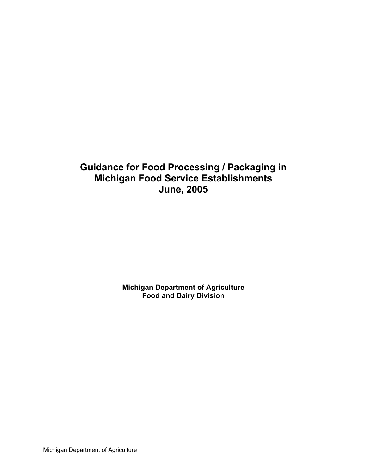# **Guidance for Food Processing / Packaging in Michigan Food Service Establishments June, 2005**

**Michigan Department of Agriculture Food and Dairy Division** 

Michigan Department of Agriculture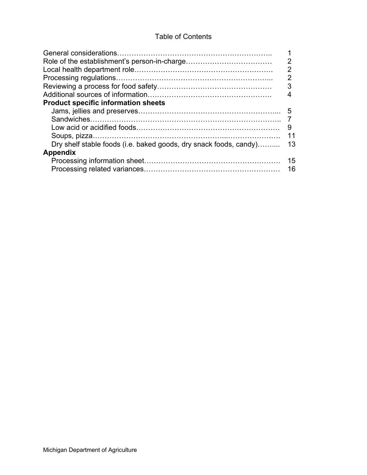# Table of Contents

| <b>Product specific information sheets</b>                                           | 2<br>2<br>っ<br>3 |
|--------------------------------------------------------------------------------------|------------------|
| Sandwiches.                                                                          | 5<br>9           |
| Dry shelf stable foods (i.e. baked goods, dry snack foods, candy)<br><b>Appendix</b> | 13<br>15         |
|                                                                                      | 16               |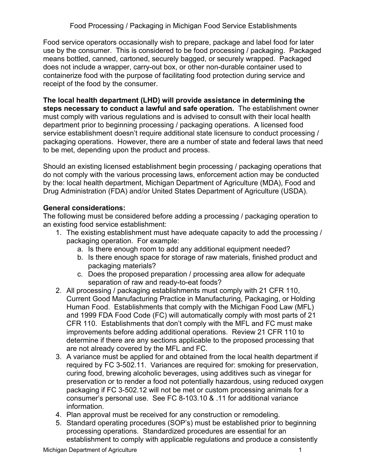Food service operators occasionally wish to prepare, package and label food for later use by the consumer. This is considered to be food processing / packaging. Packaged means bottled, canned, cartoned, securely bagged, or securely wrapped. Packaged does not include a wrapper, carry-out box, or other non-durable container used to containerize food with the purpose of facilitating food protection during service and receipt of the food by the consumer.

**The local health department (LHD) will provide assistance in determining the steps necessary to conduct a lawful and safe operation.** The establishment owner must comply with various regulations and is advised to consult with their local health department prior to beginning processing / packaging operations. A licensed food service establishment doesn't require additional state licensure to conduct processing / packaging operations. However, there are a number of state and federal laws that need to be met, depending upon the product and process.

Should an existing licensed establishment begin processing / packaging operations that do not comply with the various processing laws, enforcement action may be conducted by the: local health department, Michigan Department of Agriculture (MDA), Food and Drug Administration (FDA) and/or United States Department of Agriculture (USDA).

## **General considerations:**

The following must be considered before adding a processing / packaging operation to an existing food service establishment:

- 1. The existing establishment must have adequate capacity to add the processing / packaging operation. For example:
	- a. Is there enough room to add any additional equipment needed?
	- b. Is there enough space for storage of raw materials, finished product and packaging materials?
	- c. Does the proposed preparation / processing area allow for adequate separation of raw and ready-to-eat foods?
- 2. All processing / packaging establishments must comply with 21 CFR 110, Current Good Manufacturing Practice in Manufacturing, Packaging, or Holding Human Food. Establishments that comply with the Michigan Food Law (MFL) and 1999 FDA Food Code (FC) will automatically comply with most parts of 21 CFR 110. Establishments that don't comply with the MFL and FC must make improvements before adding additional operations. Review 21 CFR 110 to determine if there are any sections applicable to the proposed processing that are not already covered by the MFL and FC.
- 3. A variance must be applied for and obtained from the local health department if required by FC 3-502.11. Variances are required for: smoking for preservation, curing food, brewing alcoholic beverages, using additives such as vinegar for preservation or to render a food not potentially hazardous, using reduced oxygen packaging if FC 3-502.12 will not be met or custom processing animals for a consumer's personal use. See FC 8-103.10 & .11 for additional variance information.
- 4. Plan approval must be received for any construction or remodeling.
- 5. Standard operating procedures (SOP's) must be established prior to beginning processing operations. Standardized procedures are essential for an establishment to comply with applicable regulations and produce a consistently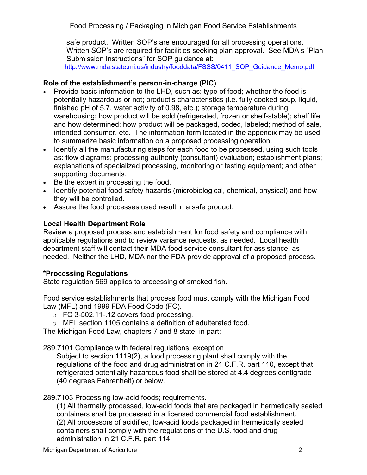safe product. Written SOP's are encouraged for all processing operations. Written SOP's are required for facilities seeking plan approval. See MDA's "Plan Submission Instructions" for SOP guidance at: [http://www.mda.state.mi.us/industry/fooddata/FSSS/0411\\_SOP\\_Guidance\\_Memo.pdf](http://www.mda.state.mi.us/industry/fooddata/FSSS/0411_SOP_Guidance_Memo.pdf)

## **Role of the establishment's person-in-charge (PIC)**

- Provide basic information to the LHD, such as: type of food; whether the food is potentially hazardous or not; product's characteristics (i.e. fully cooked soup, liquid, finished pH of 5.7, water activity of 0.98, etc.); storage temperature during warehousing; how product will be sold (refrigerated, frozen or shelf-stable); shelf life and how determined; how product will be packaged, coded, labeled; method of sale, intended consumer, etc. The information form located in the appendix may be used to summarize basic information on a proposed processing operation.
- Identify all the manufacturing steps for each food to be processed, using such tools as: flow diagrams; processing authority (consultant) evaluation; establishment plans; explanations of specialized processing, monitoring or testing equipment; and other supporting documents.
- Be the expert in processing the food.
- Identify potential food safety hazards (microbiological, chemical, physical) and how they will be controlled.
- Assure the food processes used result in a safe product.

# **Local Health Department Role**

Review a proposed process and establishment for food safety and compliance with applicable regulations and to review variance requests, as needed. Local health department staff will contact their MDA food service consultant for assistance, as needed. Neither the LHD, MDA nor the FDA provide approval of a proposed process.

# **\*Processing Regulations**

State regulation 569 applies to processing of smoked fish.

Food service establishments that process food must comply with the Michigan Food Law (MFL) and 1999 FDA Food Code (FC).

- o FC 3-502.11-.12 covers food processing.
- o MFL section 1105 contains a definition of adulterated food.

The Michigan Food Law, chapters 7 and 8 state, in part:

289.7101 Compliance with federal regulations; exception

Subject to section 1119(2), a food processing plant shall comply with the regulations of the food and drug administration in 21 C.F.R. part 110, except that refrigerated potentially hazardous food shall be stored at 4.4 degrees centigrade (40 degrees Fahrenheit) or below.

289.7103 Processing low-acid foods; requirements.

(1) All thermally processed, low-acid foods that are packaged in hermetically sealed containers shall be processed in a licensed commercial food establishment. (2) All processors of acidified, low-acid foods packaged in hermetically sealed containers shall comply with the regulations of the U.S. food and drug administration in 21 C.F.R. part 114.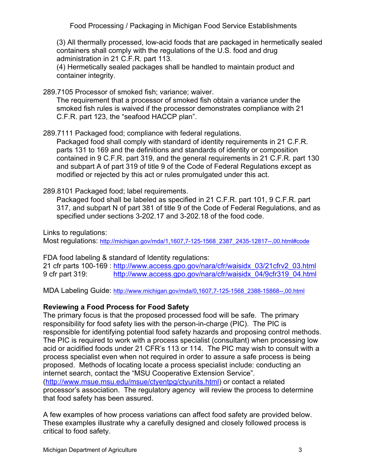(3) All thermally processed, low-acid foods that are packaged in hermetically sealed containers shall comply with the regulations of the U.S. food and drug administration in 21 C.F.R. part 113.

(4) Hermetically sealed packages shall be handled to maintain product and container integrity.

289.7105 Processor of smoked fish; variance; waiver.

The requirement that a processor of smoked fish obtain a variance under the smoked fish rules is waived if the processor demonstrates compliance with 21 C.F.R. part 123, the "seafood HACCP plan".

289.7111 Packaged food; compliance with federal regulations.

Packaged food shall comply with standard of identity requirements in 21 C.F.R. parts 131 to 169 and the definitions and standards of identity or composition contained in 9 C.F.R. part 319, and the general requirements in 21 C.F.R. part 130 and subpart A of part 319 of title 9 of the Code of Federal Regulations except as modified or rejected by this act or rules promulgated under this act.

289.8101 Packaged food; label requirements.

Packaged food shall be labeled as specified in 21 C.F.R. part 101, 9 C.F.R. part 317, and subpart N of part 381 of title 9 of the Code of Federal Regulations, and as specified under sections 3-202.17 and 3-202.18 of the food code.

Links to regulations:

Most regulations: [http://michigan.gov/mda/1,1607,7-125-1568\\_2387\\_2435-12817--,00.html#code](http://michigan.gov/mda/1,1607,7-125-1568_2387_2435-12817--,00.html)

FDA food labeling & standard of Identity regulations:

21 cfr parts 100-169 : [http://www.access.gpo.gov/nara/cfr/waisidx\\_03/21cfrv2\\_03.html](http://www.access.gpo.gov/nara/cfr/waisidx_03/21cfrv2_03.html) 9 cfr part 319: [http://www.access.gpo.gov/nara/cfr/waisidx\\_04/9cfr319\\_04.html](http://www.access.gpo.gov/nara/cfr/waisidx_04/9cfr319_04.html)

MDA Labeling Guide: [http://www.michigan.gov/mda/0,1607,7-125-1568\\_2388-15868--,00.html](http://www.michigan.gov/mda/0,1607,7-125-1568_2388-15868--,00.html)

## **Reviewing a Food Process for Food Safety**

The primary focus is that the proposed processed food will be safe. The primary responsibility for food safety lies with the person-in-charge (PIC). The PIC is responsible for identifying potential food safety hazards and proposing control methods. The PIC is required to work with a process specialist (consultant) when processing low acid or acidified foods under 21 CFR's 113 or 114. The PIC may wish to consult with a process specialist even when not required in order to assure a safe process is being proposed. Methods of locating locate a process specialist include: conducting an internet search, contact the "MSU Cooperative Extension Service". (<http://www.msue.msu.edu/msue/ctyentpg/ctyunits.html>) or contact a related processor's association. The regulatory agency will review the process to determine that food safety has been assured.

A few examples of how process variations can affect food safety are provided below. These examples illustrate why a carefully designed and closely followed process is critical to food safety.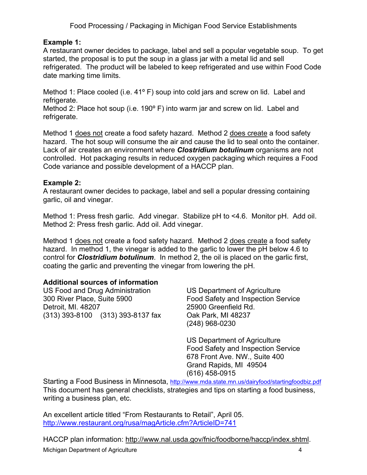## **Example 1:**

A restaurant owner decides to package, label and sell a popular vegetable soup. To get started, the proposal is to put the soup in a glass jar with a metal lid and sell refrigerated. The product will be labeled to keep refrigerated and use within Food Code date marking time limits.

Method 1: Place cooled (i.e. 41<sup>o</sup> F) soup into cold jars and screw on lid. Label and refrigerate.

Method 2: Place hot soup (i.e. 190° F) into warm jar and screw on lid. Label and refrigerate.

Method 1 does not create a food safety hazard. Method 2 does create a food safety hazard. The hot soup will consume the air and cause the lid to seal onto the container. Lack of air creates an environment where *Clostridium botulinum* organisms are not controlled. Hot packaging results in reduced oxygen packaging which requires a Food Code variance and possible development of a HACCP plan.

## **Example 2:**

A restaurant owner decides to package, label and sell a popular dressing containing garlic, oil and vinegar.

Method 1: Press fresh garlic. Add vinegar. Stabilize pH to <4.6. Monitor pH. Add oil. Method 2: Press fresh garlic. Add oil. Add vinegar.

Method 1 does not create a food safety hazard. Method 2 does create a food safety hazard. In method 1, the vinegar is added to the garlic to lower the pH below 4.6 to control for *Clostridium botulinum*. In method 2, the oil is placed on the garlic first, coating the garlic and preventing the vinegar from lowering the pH.

## **Additional sources of information**

US Food and Drug Administration 300 River Place, Suite 5900 Detroit, MI. 48207 (313) 393-8100 (313) 393-8137 fax US Department of Agriculture Food Safety and Inspection Service 25900 Greenfield Rd. Oak Park, MI 48237 (248) 968-0230

US Department of Agriculture Food Safety and Inspection Service 678 Front Ave. NW., Suite 400 Grand Rapids, MI 49504 (616) 458-0915

Starting a Food Business in Minnesota,<http://www.mda.state.mn.us/dairyfood/startingfoodbiz.pdf> This document has general checklists, strategies and tips on starting a food business, writing a business plan, etc.

An excellent article titled "From Restaurants to Retail", April 05. <http://www.restaurant.org/rusa/magArticle.cfm?ArticleID=741>

HACCP plan information: [http://www.nal.usda.gov/fnic/foodborne/haccp/index.shtml.](http://www.nal.usda.gov/fnic/foodborne/haccp/index.shtml) Michigan Department of Agriculture 4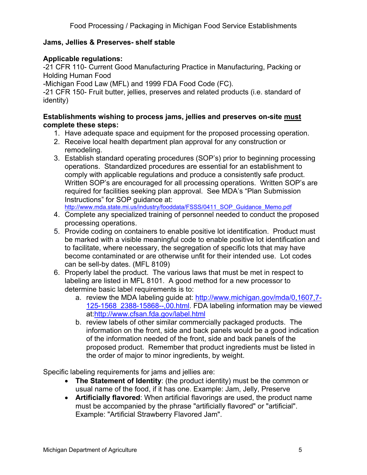## **Jams, Jellies & Preserves- shelf stable**

## **Applicable regulations:**

-21 CFR 110- Current Good Manufacturing Practice in Manufacturing, Packing or Holding Human Food

-Michigan Food Law (MFL) and 1999 FDA Food Code (FC).

-21 CFR 150- Fruit butter, jellies, preserves and related products (i.e. standard of identity)

## **Establishments wishing to process jams, jellies and preserves on-site must complete these steps:**

- 1. Have adequate space and equipment for the proposed processing operation.
- 2. Receive local health department plan approval for any construction or remodeling.
- 3. Establish standard operating procedures (SOP's) prior to beginning processing operations. Standardized procedures are essential for an establishment to comply with applicable regulations and produce a consistently safe product. Written SOP's are encouraged for all processing operations. Written SOP's are required for facilities seeking plan approval. See MDA's "Plan Submission Instructions" for SOP guidance at:<br>http://www.mda.state.mi.us/industry/fooddata/FSSS/0411\_SOP\_Guidance\_Memo.pdf

- 4. Complete any specialized training of personnel needed to conduct the proposed processing operations.
- 5. Provide coding on containers to enable positive lot identification. Product must be marked with a visible meaningful code to enable positive lot identification and to facilitate, where necessary, the segregation of specific lots that may have become contaminated or are otherwise unfit for their intended use. Lot codes can be sell-by dates. (MFL 8109)
- 6. Properly label the product. The various laws that must be met in respect to labeling are listed in MFL 8101. A good method for a new processor to determine basic label requirements is to:
	- a. review the MDA labeling guide at: [http://www.michigan.gov/mda/0,1607,7-](http://www.michigan.gov/mda/0,1607,7-125-1568_2388-15868--,00.html) [125-1568\\_2388-15868--,00.html](http://www.michigan.gov/mda/0,1607,7-125-1568_2388-15868--,00.html). FDA labeling information may be viewed at[:http://www.cfsan.fda.gov/label.html](http://www.cfsan.fda.gov/label.html)
	- b. review labels of other similar commercially packaged products. The information on the front, side and back panels would be a good indication of the information needed of the front, side and back panels of the proposed product. Remember that product ingredients must be listed in the order of major to minor ingredients, by weight.

Specific labeling requirements for jams and jellies are:

- **The Statement of Identity**: (the product identity) must be the common or usual name of the food, if it has one. Example: Jam, Jelly, Preserve
- **Artificially flavored**: When artificial flavorings are used, the product name must be accompanied by the phrase "artificially flavored" or "artificial". Example: "Artificial Strawberry Flavored Jam".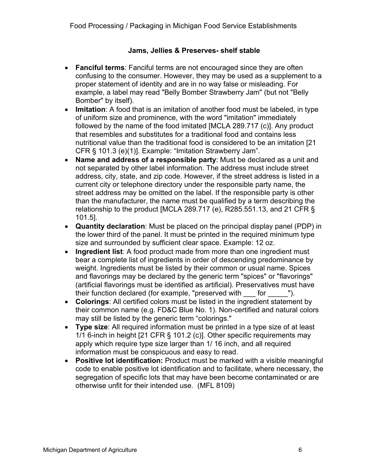## **Jams, Jellies & Preserves- shelf stable**

- **Fanciful terms**: Fanciful terms are not encouraged since they are often confusing to the consumer. However, they may be used as a supplement to a proper statement of identity and are in no way false or misleading. For example, a label may read "Belly Bomber Strawberry Jam" (but not "Belly Bomber" by itself).
- **Imitation**: A food that is an imitation of another food must be labeled, in type of uniform size and prominence, with the word "imitation" immediately followed by the name of the food imitated [MCLA 289.717 (c)]. Any product that resembles and substitutes for a traditional food and contains less nutritional value than the traditional food is considered to be an imitation [21 CFR § 101.3 (e)(1)]. Example: "Imitation Strawberry Jam".
- **Name and address of a responsible party**: Must be declared as a unit and not separated by other label information. The address must include street address, city, state, and zip code. However, if the street address is listed in a current city or telephone directory under the responsible party name, the street address may be omitted on the label. If the responsible party is other than the manufacturer, the name must be qualified by a term describing the relationship to the product [MCLA 289.717 (e), R285.551.13, and 21 CFR  $\S$ 101.5].
- **Quantity declaration**: Must be placed on the principal display panel (PDP) in the lower third of the panel. It must be printed in the required minimum type size and surrounded by sufficient clear space. Example: 12 oz.
- **Ingredient list**: A food product made from more than one ingredient must bear a complete list of ingredients in order of descending predominance by weight. Ingredients must be listed by their common or usual name. Spices and flavorings may be declared by the generic term "spices" or "flavorings" (artificial flavorings must be identified as artificial). Preservatives must have their function declared (for example, "preserved with for  $\qquad$  ").
- **Colorings**: All certified colors must be listed in the ingredient statement by their common name (e.g. FD&C Blue No. 1). Non-certified and natural colors may still be listed by the generic term "colorings."
- **Type size**: All required information must be printed in a type size of at least 1/1 6-inch in height [21 CFR § 101.2 (c)]. Other specific requirements may apply which require type size larger than 1/ 16 inch, and all required information must be conspicuous and easy to read.
- **Positive lot identification:** Product must be marked with a visible meaningful code to enable positive lot identification and to facilitate, where necessary, the segregation of specific lots that may have been become contaminated or are otherwise unfit for their intended use. (MFL 8109)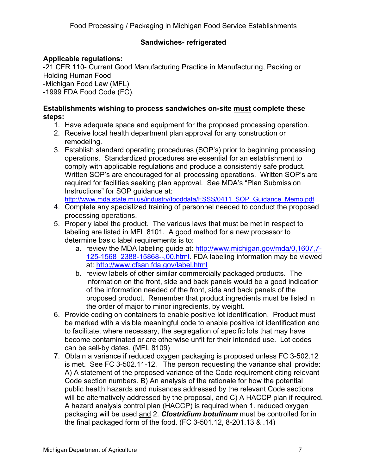## **Sandwiches- refrigerated**

## **Applicable regulations:**

-21 CFR 110- Current Good Manufacturing Practice in Manufacturing, Packing or Holding Human Food -Michigan Food Law (MFL) -1999 FDA Food Code (FC).

#### **Establishments wishing to process sandwiches on-site must complete these steps:**

- 1. Have adequate space and equipment for the proposed processing operation.
- 2. Receive local health department plan approval for any construction or remodeling.
- 3. Establish standard operating procedures (SOP's) prior to beginning processing operations. Standardized procedures are essential for an establishment to comply with applicable regulations and produce a consistently safe product. Written SOP's are encouraged for all processing operations. Written SOP's are required for facilities seeking plan approval. See MDA's "Plan Submission Instructions" for SOP guidance at:

[http://www.mda.state.mi.us/industry/fooddata/FSSS/0411\\_SOP\\_Guidance\\_Memo.pdf](http://www.mda.state.mi.us/industry/fooddata/FSSS/0411_SOP_Guidance_Memo.pdf)

- 4. Complete any specialized training of personnel needed to conduct the proposed processing operations.
- 5. Properly label the product. The various laws that must be met in respect to labeling are listed in MFL 8101. A good method for a new processor to determine basic label requirements is to:
	- a. review the MDA labeling guide at: [http://www.michigan.gov/mda/0,1607,7-](http://www.michigan.gov/mda/0,1607,7-125-1568_2388-15868--,00.html) [125-1568\\_2388-15868--,00.html](http://www.michigan.gov/mda/0,1607,7-125-1568_2388-15868--,00.html). FDA labeling information may be viewed at: <http://www.cfsan.fda.gov/label.html>
	- b. review labels of other similar commercially packaged products. The information on the front, side and back panels would be a good indication of the information needed of the front, side and back panels of the proposed product. Remember that product ingredients must be listed in the order of major to minor ingredients, by weight.
- 6. Provide coding on containers to enable positive lot identification. Product must be marked with a visible meaningful code to enable positive lot identification and to facilitate, where necessary, the segregation of specific lots that may have become contaminated or are otherwise unfit for their intended use. Lot codes can be sell-by dates. (MFL 8109)
- 7. Obtain a variance if reduced oxygen packaging is proposed unless FC 3-502.12 is met. See FC 3-502.11-12. The person requesting the variance shall provide: A) A statement of the proposed variance of the Code requirement citing relevant Code section numbers. B) An analysis of the rationale for how the potential public health hazards and nuisances addressed by the relevant Code sections will be alternatively addressed by the proposal, and C) A HACCP plan if required. A hazard analysis control plan (HACCP) is required when 1. reduced oxygen packaging will be used and 2. *Clostridium botulinum* must be controlled for in the final packaged form of the food. (FC 3-501.12, 8-201.13 & .14)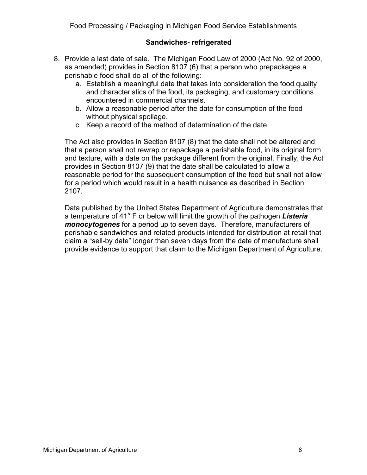#### **Sandwiches- refrigerated**

- 8. Provide a last date of sale. The Michigan Food Law of 2000 (Act No. 92 of 2000, as amended) provides in Section 8107 (6) that a person who prepackages a perishable food shall do all of the following:
	- a. Establish a meaningful date that takes into consideration the food quality and characteristics of the food, its packaging, and customary conditions encountered in commercial channels.
	- b. Allow a reasonable period after the date for consumption of the food without physical spoilage.
	- c. Keep a record of the method of determination of the date.

The Act also provides in Section 8107 (8) that the date shall not be altered and that a person shall not rewrap or repackage a perishable food, in its original form and texture, with a date on the package different from the original. Finally, the Act provides in Section 8107 (9) that the date shall be calculated to allow a reasonable period for the subsequent consumption of the food but shall not allow for a period which would result in a health nuisance as described in Section 2107.

Data published by the United States Department of Agriculture demonstrates that a temperature of 41° F or below will limit the growth of the pathogen *Listeria monocytogenes* for a period up to seven days. Therefore, manufacturers of perishable sandwiches and related products intended for distribution at retail that claim a "sell-by date" longer than seven days from the date of manufacture shall provide evidence to support that claim to the Michigan Department of Agriculture.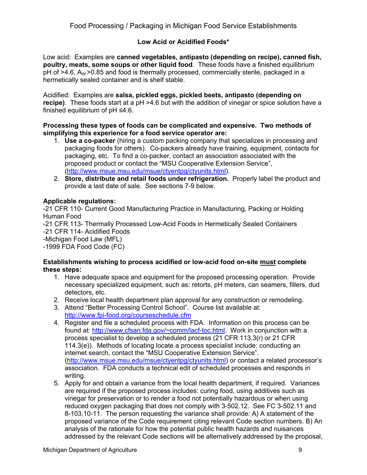## **Low Acid or Acidified Foods\***

Low acid: Examples are **canned vegetables, antipasto (depending on recipe), canned fish, poultry, meats, some soups or other liquid food**. These foods have a finished equilibrium  $pH$  of  $>4.6$ , A<sub>W</sub>  $>0.85$  and food is thermally processed, commercially sterile, packaged in a hermetically sealed container and is shelf stable.

Acidified: Examples are **salsa, pickled eggs, pickled beets, antipasto (depending on recipe)**. These foods start at a pH >4.6 but with the addition of vinegar or spice solution have a finished equilibrium of pH ≤4.6.

#### **Processing these types of foods can be complicated and expensive. Two methods of simplifying this experience for a food service operator are:**

- 1. **Use a co-packer** (hiring a custom packing company that specializes in processing and packaging foods for others). Co-packers already have training, equipment, contacts for packaging, etc. To find a co-packer, contact an association associated with the proposed product or contact the "MSU Cooperative Extension Service", ([http://www.msue.msu.edu/msue/ctyentpg/ctyunits.html\)](http://www.msue.msu.edu/msue/ctyentpg/ctyunits.html).
- 2. **Store, distribute and retail foods under refrigeration.** Properly label the product and provide a last date of sale. See sections 7-9 below.

#### **Applicable regulations:**

-21 CFR 110- Current Good Manufacturing Practice in Manufacturing, Packing or Holding Human Food

-21 CFR 113- Thermally Processed Low-Acid Foods in Hermetically Sealed Containers -21 CFR 114- Acidified Foods

-Michigan Food Law (MFL)

-1999 FDA Food Code (FC)

#### **Establishments wishing to process acidified or low-acid food on-site must complete these steps:**

- 1. Have adequate space and equipment for the proposed processing operation. Provide necessary specialized equipment, such as: retorts, pH meters, can seamers, fillers, dud detectors, etc.
- 2. Receive local health department plan approval for any construction or remodeling.
- 3. Attend "Better Processing Control School". Course list available at: <http://www.fpi-food.org/courseschedule.cfm>
- 4. Register and file a scheduled process with FDA. Information on this process can be found at: <http://www.cfsan.fda.gov/~comm/lacf-toc.html>. Work in conjunction with a process specialist to develop a scheduled process (21 CFR 113.3(r) or 21 CFR 114.3(e)). Methods of locating locate a process specialist include: conducting an internet search, contact the "MSU Cooperative Extension Service". ([http://www.msue.msu.edu/msue/ctyentpg/ctyunits.html\)](http://www.msue.msu.edu/msue/ctyentpg/ctyunits.html) or contact a related processor's association. FDA conducts a technical edit of scheduled processes and responds in writing.
- 5. Apply for and obtain a variance from the local health department, if required. Variances are required if the proposed process includes: curing food, using additives such as vinegar for preservation or to render a food not potentially hazardous or when using reduced oxygen packaging that does not comply with 3-502.12. See FC 3-502.11 and 8-103.10-11. The person requesting the variance shall provide: A) A statement of the proposed variance of the Code requirement citing relevant Code section numbers. B) An analysis of the rationale for how the potential public health hazards and nuisances addressed by the relevant Code sections will be alternatively addressed by the proposal,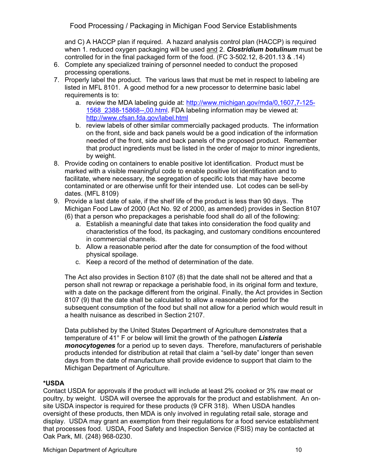and C) A HACCP plan if required. A hazard analysis control plan (HACCP) is required when 1. reduced oxygen packaging will be used and 2. *Clostridium botulinum* must be controlled for in the final packaged form of the food. (FC 3-502.12, 8-201.13 & .14)

- 6. Complete any specialized training of personnel needed to conduct the proposed processing operations.
- 7. Properly label the product. The various laws that must be met in respect to labeling are listed in MFL 8101. A good method for a new processor to determine basic label requirements is to:
	- a. review the MDA labeling guide at: [http://www.michigan.gov/mda/0,1607,7-125-](http://www.michigan.gov/mda/0,1607,7-125-1568_2388-15868--,00.html) [1568\\_2388-15868--,00.html.](http://www.michigan.gov/mda/0,1607,7-125-1568_2388-15868--,00.html) FDA labeling information may be viewed at: <http://www.cfsan.fda.gov/label.html>
	- b. review labels of other similar commercially packaged products. The information on the front, side and back panels would be a good indication of the information needed of the front, side and back panels of the proposed product. Remember that product ingredients must be listed in the order of major to minor ingredients, by weight.
- 8. Provide coding on containers to enable positive lot identification. Product must be marked with a visible meaningful code to enable positive lot identification and to facilitate, where necessary, the segregation of specific lots that may have become contaminated or are otherwise unfit for their intended use. Lot codes can be sell-by dates. (MFL 8109)
- 9. Provide a last date of sale, if the shelf life of the product is less than 90 days. The Michigan Food Law of 2000 (Act No. 92 of 2000, as amended) provides in Section 8107 (6) that a person who prepackages a perishable food shall do all of the following:
	- a. Establish a meaningful date that takes into consideration the food quality and characteristics of the food, its packaging, and customary conditions encountered in commercial channels.
	- b. Allow a reasonable period after the date for consumption of the food without physical spoilage.
	- c. Keep a record of the method of determination of the date.

The Act also provides in Section 8107 (8) that the date shall not be altered and that a person shall not rewrap or repackage a perishable food, in its original form and texture, with a date on the package different from the original. Finally, the Act provides in Section 8107 (9) that the date shall be calculated to allow a reasonable period for the subsequent consumption of the food but shall not allow for a period which would result in a health nuisance as described in Section 2107.

Data published by the United States Department of Agriculture demonstrates that a temperature of 41° F or below will limit the growth of the pathogen *Listeria monocytogenes* for a period up to seven days. Therefore, manufacturers of perishable products intended for distribution at retail that claim a "sell-by date" longer than seven days from the date of manufacture shall provide evidence to support that claim to the Michigan Department of Agriculture.

#### **\*USDA**

Contact USDA for approvals if the product will include at least 2% cooked or 3% raw meat or poultry, by weight. USDA will oversee the approvals for the product and establishment. An onsite USDA inspector is required for these products (9 CFR 318). When USDA handles oversight of these products, then MDA is only involved in regulating retail sale, storage and display. USDA may grant an exemption from their regulations for a food service establishment that processes food. USDA, Food Safety and Inspection Service (FSIS) may be contacted at Oak Park, MI. (248) 968-0230.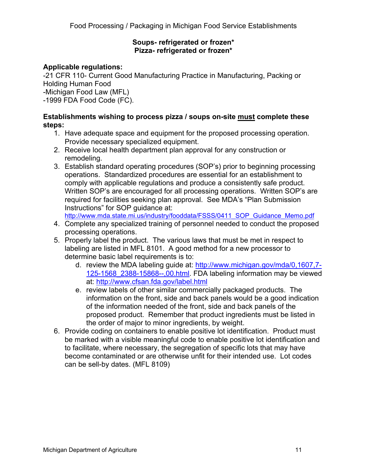#### **Soups- refrigerated or frozen\* Pizza- refrigerated or frozen\***

# **Applicable regulations:**

-21 CFR 110- Current Good Manufacturing Practice in Manufacturing, Packing or Holding Human Food

-Michigan Food Law (MFL)

-1999 FDA Food Code (FC).

## **Establishments wishing to process pizza / soups on-site must complete these steps:**

- 1. Have adequate space and equipment for the proposed processing operation. Provide necessary specialized equipment.
- 2. Receive local health department plan approval for any construction or remodeling.
- 3. Establish standard operating procedures (SOP's) prior to beginning processing operations. Standardized procedures are essential for an establishment to comply with applicable regulations and produce a consistently safe product. Written SOP's are encouraged for all processing operations. Written SOP's are required for facilities seeking plan approval. See MDA's "Plan Submission Instructions" for SOP guidance at:

[http://www.mda.state.mi.us/industry/fooddata/FSSS/0411\\_SOP\\_Guidance\\_Memo.pdf](http://www.mda.state.mi.us/industry/fooddata/FSSS/0411_SOP_Guidance_Memo.pdf)

- 4. Complete any specialized training of personnel needed to conduct the proposed processing operations.
- 5. Properly label the product. The various laws that must be met in respect to labeling are listed in MFL 8101. A good method for a new processor to determine basic label requirements is to:
	- d. review the MDA labeling guide at: [http://www.michigan.gov/mda/0,1607,7-](http://www.michigan.gov/mda/0,1607,7-125-1568_2388-15868--,00.html) [125-1568\\_2388-15868--,00.html](http://www.michigan.gov/mda/0,1607,7-125-1568_2388-15868--,00.html). FDA labeling information may be viewed at: <http://www.cfsan.fda.gov/label.html>
	- e. review labels of other similar commercially packaged products. The information on the front, side and back panels would be a good indication of the information needed of the front, side and back panels of the proposed product. Remember that product ingredients must be listed in the order of major to minor ingredients, by weight.
- 6. Provide coding on containers to enable positive lot identification. Product must be marked with a visible meaningful code to enable positive lot identification and to facilitate, where necessary, the segregation of specific lots that may have become contaminated or are otherwise unfit for their intended use. Lot codes can be sell-by dates. (MFL 8109)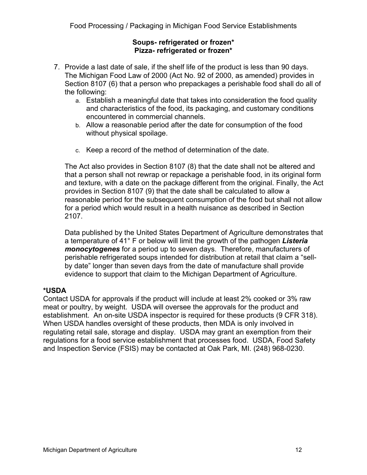#### **Soups- refrigerated or frozen\* Pizza- refrigerated or frozen\***

- 7. Provide a last date of sale, if the shelf life of the product is less than 90 days. The Michigan Food Law of 2000 (Act No. 92 of 2000, as amended) provides in Section 8107 (6) that a person who prepackages a perishable food shall do all of the following:
	- a. Establish a meaningful date that takes into consideration the food quality and characteristics of the food, its packaging, and customary conditions encountered in commercial channels.
	- b. Allow a reasonable period after the date for consumption of the food without physical spoilage.
	- c. Keep a record of the method of determination of the date.

The Act also provides in Section 8107 (8) that the date shall not be altered and that a person shall not rewrap or repackage a perishable food, in its original form and texture, with a date on the package different from the original. Finally, the Act provides in Section 8107 (9) that the date shall be calculated to allow a reasonable period for the subsequent consumption of the food but shall not allow for a period which would result in a health nuisance as described in Section 2107.

Data published by the United States Department of Agriculture demonstrates that a temperature of 41° F or below will limit the growth of the pathogen *Listeria monocytogenes* for a period up to seven days. Therefore, manufacturers of perishable refrigerated soups intended for distribution at retail that claim a "sellby date" longer than seven days from the date of manufacture shall provide evidence to support that claim to the Michigan Department of Agriculture.

## **\*USDA**

Contact USDA for approvals if the product will include at least 2% cooked or 3% raw meat or poultry, by weight. USDA will oversee the approvals for the product and establishment. An on-site USDA inspector is required for these products (9 CFR 318). When USDA handles oversight of these products, then MDA is only involved in regulating retail sale, storage and display. USDA may grant an exemption from their regulations for a food service establishment that processes food. USDA, Food Safety and Inspection Service (FSIS) may be contacted at Oak Park, MI. (248) 968-0230.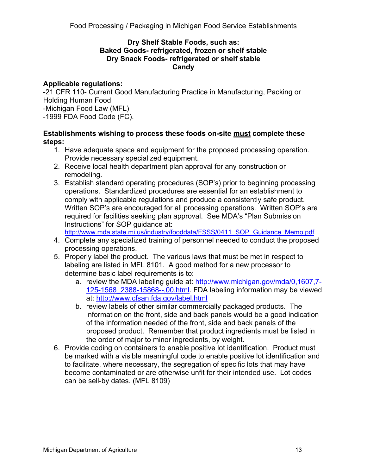#### **Dry Shelf Stable Foods, such as: Baked Goods- refrigerated, frozen or shelf stable Dry Snack Foods- refrigerated or shelf stable Candy**

## **Applicable regulations:**

-21 CFR 110- Current Good Manufacturing Practice in Manufacturing, Packing or Holding Human Food -Michigan Food Law (MFL) -1999 FDA Food Code (FC).

## **Establishments wishing to process these foods on-site must complete these steps:**

- 1. Have adequate space and equipment for the proposed processing operation. Provide necessary specialized equipment.
- 2. Receive local health department plan approval for any construction or remodeling.
- 3. Establish standard operating procedures (SOP's) prior to beginning processing operations. Standardized procedures are essential for an establishment to comply with applicable regulations and produce a consistently safe product. Written SOP's are encouraged for all processing operations. Written SOP's are required for facilities seeking plan approval. See MDA's "Plan Submission Instructions" for SOP guidance at:

[http://www.mda.state.mi.us/industry/fooddata/FSSS/0411\\_SOP\\_Guidance\\_Memo.pdf](http://www.mda.state.mi.us/industry/fooddata/FSSS/0411_SOP_Guidance_Memo.pdf)

- 4. Complete any specialized training of personnel needed to conduct the proposed processing operations.
- 5. Properly label the product. The various laws that must be met in respect to labeling are listed in MFL 8101. A good method for a new processor to determine basic label requirements is to:
	- a. review the MDA labeling guide at: [http://www.michigan.gov/mda/0,1607,7-](http://www.michigan.gov/mda/0,1607,7-125-1568_2388-15868--,00.html) [125-1568\\_2388-15868--,00.html](http://www.michigan.gov/mda/0,1607,7-125-1568_2388-15868--,00.html). FDA labeling information may be viewed at: <http://www.cfsan.fda.gov/label.html>
	- b. review labels of other similar commercially packaged products. The information on the front, side and back panels would be a good indication of the information needed of the front, side and back panels of the proposed product. Remember that product ingredients must be listed in the order of major to minor ingredients, by weight.
- 6. Provide coding on containers to enable positive lot identification. Product must be marked with a visible meaningful code to enable positive lot identification and to facilitate, where necessary, the segregation of specific lots that may have become contaminated or are otherwise unfit for their intended use. Lot codes can be sell-by dates. (MFL 8109)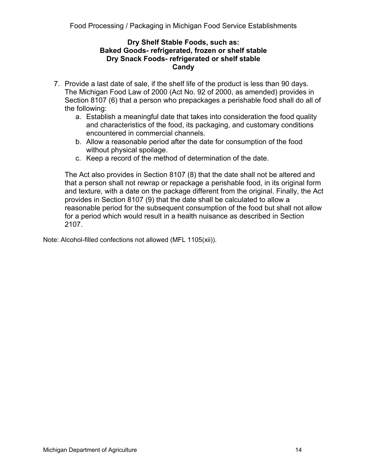#### **Dry Shelf Stable Foods, such as: Baked Goods- refrigerated, frozen or shelf stable Dry Snack Foods- refrigerated or shelf stable Candy**

- 7. Provide a last date of sale, if the shelf life of the product is less than 90 days. The Michigan Food Law of 2000 (Act No. 92 of 2000, as amended) provides in Section 8107 (6) that a person who prepackages a perishable food shall do all of the following:
	- a. Establish a meaningful date that takes into consideration the food quality and characteristics of the food, its packaging, and customary conditions encountered in commercial channels.
	- b. Allow a reasonable period after the date for consumption of the food without physical spoilage.
	- c. Keep a record of the method of determination of the date.

The Act also provides in Section 8107 (8) that the date shall not be altered and that a person shall not rewrap or repackage a perishable food, in its original form and texture, with a date on the package different from the original. Finally, the Act provides in Section 8107 (9) that the date shall be calculated to allow a reasonable period for the subsequent consumption of the food but shall not allow for a period which would result in a health nuisance as described in Section 2107.

Note: Alcohol-filled confections not allowed (MFL 1105(xii)).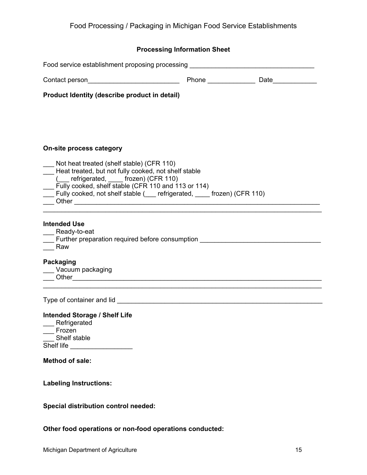#### **Processing Information Sheet**

| Food service establishment proposing processing ________________________________                                                                                              |  |
|-------------------------------------------------------------------------------------------------------------------------------------------------------------------------------|--|
|                                                                                                                                                                               |  |
| Product Identity (describe product in detail)                                                                                                                                 |  |
|                                                                                                                                                                               |  |
|                                                                                                                                                                               |  |
| <b>On-site process category</b>                                                                                                                                               |  |
| Not heat treated (shelf stable) (CFR 110)<br>___ Not heat treated (shelf stable) (CFR 110)<br>___ Heat treated, but not fully cooked, not shelf stable<br>(CFR 110) (CFR 110) |  |
| Fully cooked, shelf stable (CFR 110 and 113 or 114)<br>__ Fully cooked, not shelf stable (__ refrigerated, __ frozen) (CFR 110)                                               |  |
| <b>Intended Use</b>                                                                                                                                                           |  |
| _ Ready-to-eat<br>Further preparation required before consumption                                                                                                             |  |
| Raw                                                                                                                                                                           |  |
| <b>Packaging</b>                                                                                                                                                              |  |
| Vacuum packaging                                                                                                                                                              |  |
|                                                                                                                                                                               |  |
|                                                                                                                                                                               |  |
| <b>Intended Storage / Shelf Life</b>                                                                                                                                          |  |
| Refrigerated<br>__ Frozen                                                                                                                                                     |  |
| __ Shelf stable                                                                                                                                                               |  |
|                                                                                                                                                                               |  |
| <b>Method of sale:</b>                                                                                                                                                        |  |
| <b>Labeling Instructions:</b>                                                                                                                                                 |  |
| <b>Special distribution control needed:</b>                                                                                                                                   |  |

**Other food operations or non-food operations conducted:**